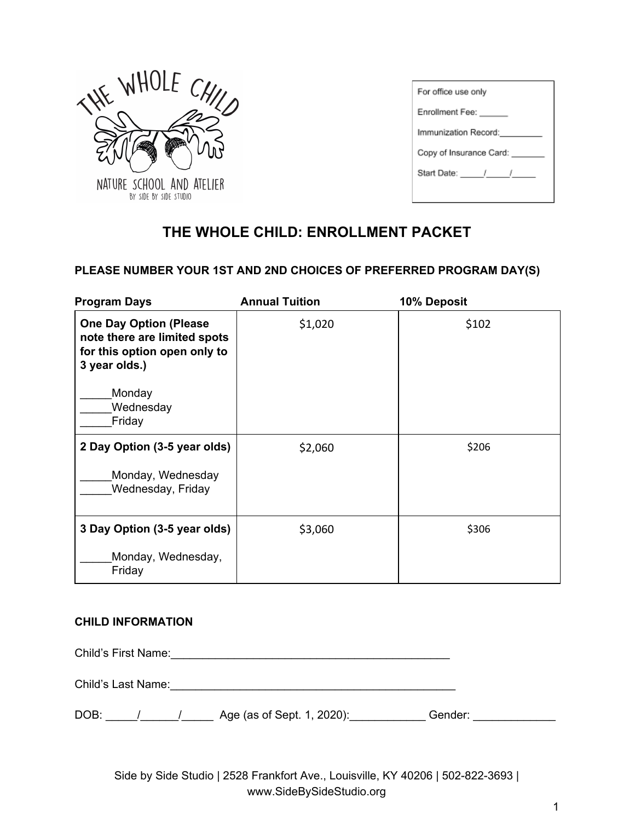

| For office use only     |  |  |
|-------------------------|--|--|
| Enrollment Fee:         |  |  |
| Immunization Record:    |  |  |
| Copy of Insurance Card: |  |  |
| Start Date: / /         |  |  |
|                         |  |  |

# **THE WHOLE CHILD: ENROLLMENT PACKET**

## **PLEASE NUMBER YOUR 1ST AND 2ND CHOICES OF PREFERRED PROGRAM DAY(S)**

| <b>Program Days</b>                                                                                            | <b>Annual Tuition</b> | 10% Deposit |
|----------------------------------------------------------------------------------------------------------------|-----------------------|-------------|
| <b>One Day Option (Please</b><br>note there are limited spots<br>for this option open only to<br>3 year olds.) | \$1,020               | \$102       |
| Monday<br>Wednesday<br>Friday                                                                                  |                       |             |
| 2 Day Option (3-5 year olds)<br>Monday, Wednesday<br>Wednesday, Friday                                         | \$2,060               | \$206       |
| 3 Day Option (3-5 year olds)<br>Monday, Wednesday,<br>Friday                                                   | \$3,060               | \$306       |

#### **CHILD INFORMATION**

Child's First Name:\_\_\_\_\_\_\_\_\_\_\_\_\_\_\_\_\_\_\_\_\_\_\_\_\_\_\_\_\_\_\_\_\_\_\_\_\_\_\_\_\_\_\_\_ Child's Last Name:\_\_\_\_\_\_\_\_\_\_\_\_\_\_\_\_\_\_\_\_\_\_\_\_\_\_\_\_\_\_\_\_\_\_\_\_\_\_\_\_\_\_\_\_\_

DOB:  $\frac{1}{\sqrt{2}}$  / \_\_\_\_\_\_ Age (as of Sept. 1, 2020): \_\_\_\_\_\_\_\_\_\_\_\_\_\_Gender: \_\_\_\_\_\_\_\_\_\_\_\_\_\_\_\_\_\_\_\_\_\_\_\_

Side by Side Studio | 2528 Frankfort Ave., Louisville, KY 40206 | 502-822-3693 | www.SideBySideStudio.org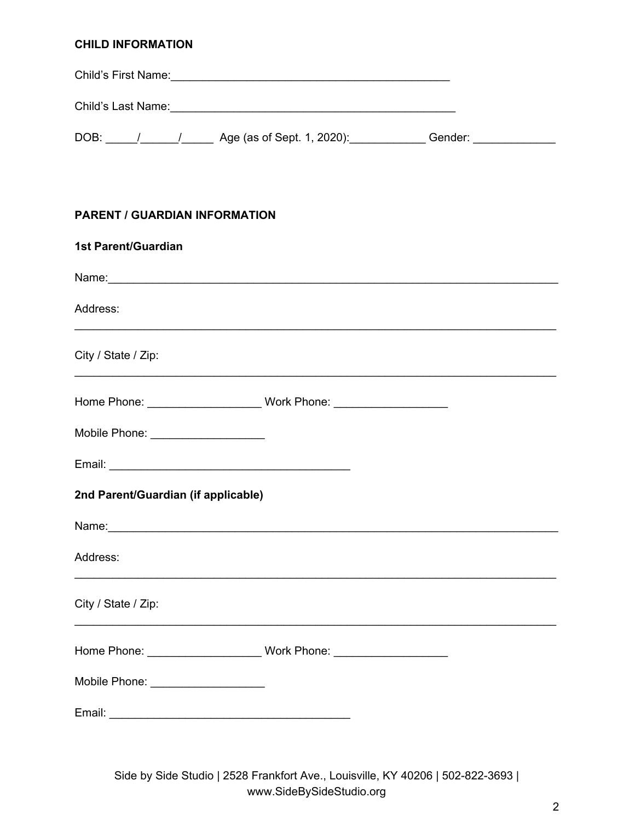## **CHILD INFORMATION**

| DOB: \_____/ _______/ _______ Age (as of Sept. 1, 2020): ______________Gender: ____________________                                                                                                                           |
|-------------------------------------------------------------------------------------------------------------------------------------------------------------------------------------------------------------------------------|
| <b>PARENT / GUARDIAN INFORMATION</b>                                                                                                                                                                                          |
| <b>1st Parent/Guardian</b>                                                                                                                                                                                                    |
| Name: Name: Name: Name: Name: Name: Name: Name: Name: Name: Name: Name: Name: Name: Name: Name: Name: Name: Name: Name: Name: Name: Name: Name: Name: Name: Name: Name: Name: Name: Name: Name: Name: Name: Name: Name: Name: |
| Address:                                                                                                                                                                                                                      |
| City / State / Zip:                                                                                                                                                                                                           |
|                                                                                                                                                                                                                               |
| Mobile Phone: ___________________                                                                                                                                                                                             |
|                                                                                                                                                                                                                               |
| 2nd Parent/Guardian (if applicable)                                                                                                                                                                                           |
| Name:                                                                                                                                                                                                                         |
| Address:                                                                                                                                                                                                                      |
| City / State / Zip:                                                                                                                                                                                                           |
|                                                                                                                                                                                                                               |
| Mobile Phone: ____________________                                                                                                                                                                                            |
|                                                                                                                                                                                                                               |

Side by Side Studio | 2528 Frankfort Ave., Louisville, KY 40206 | 502-822-3693 | www.SideBySideStudio.org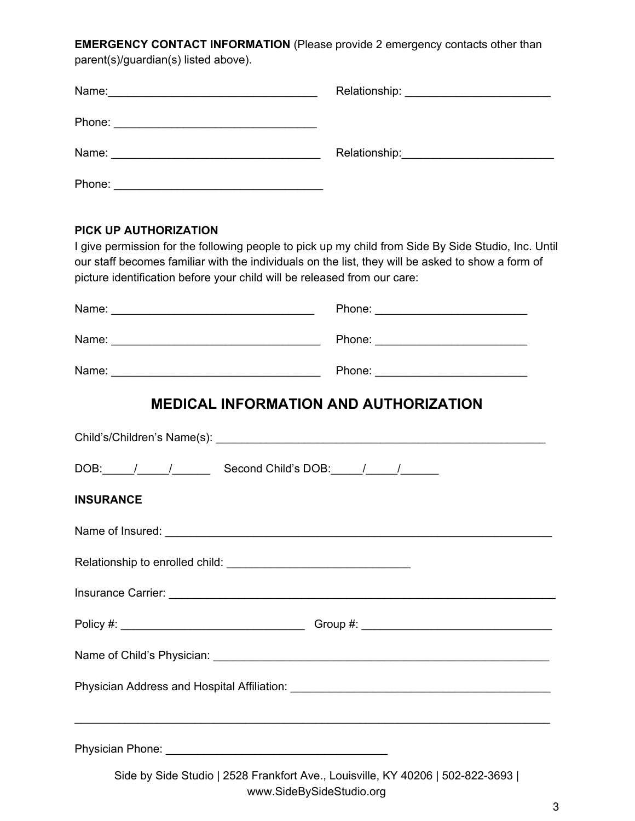**EMERGENCY CONTACT INFORMATION** (Please provide 2 emergency contacts other than

| parent(s)/guardian(s) listed above).                                                                     |                                                                                                                                                                                                          |
|----------------------------------------------------------------------------------------------------------|----------------------------------------------------------------------------------------------------------------------------------------------------------------------------------------------------------|
|                                                                                                          |                                                                                                                                                                                                          |
|                                                                                                          |                                                                                                                                                                                                          |
|                                                                                                          |                                                                                                                                                                                                          |
|                                                                                                          |                                                                                                                                                                                                          |
| <b>PICK UP AUTHORIZATION</b><br>picture identification before your child will be released from our care: | I give permission for the following people to pick up my child from Side By Side Studio, Inc. Until<br>our staff becomes familiar with the individuals on the list, they will be asked to show a form of |
|                                                                                                          |                                                                                                                                                                                                          |
|                                                                                                          |                                                                                                                                                                                                          |
|                                                                                                          |                                                                                                                                                                                                          |
|                                                                                                          | <b>MEDICAL INFORMATION AND AUTHORIZATION</b>                                                                                                                                                             |
|                                                                                                          |                                                                                                                                                                                                          |
| DOB: / / / Second Child's DOB: / / /                                                                     |                                                                                                                                                                                                          |
| <b>INSURANCE</b>                                                                                         |                                                                                                                                                                                                          |
|                                                                                                          |                                                                                                                                                                                                          |
|                                                                                                          |                                                                                                                                                                                                          |
|                                                                                                          |                                                                                                                                                                                                          |

Physician Phone: \_\_\_\_\_\_\_\_\_\_\_\_\_\_\_\_\_\_\_\_\_\_\_\_\_\_\_\_\_\_\_\_\_\_\_

Side by Side Studio | 2528 Frankfort Ave., Louisville, KY 40206 | 502-822-3693 | www.SideBySideStudio.org

Policy #: \_\_\_\_\_\_\_\_\_\_\_\_\_\_\_\_\_\_\_\_\_\_\_\_\_\_\_\_\_ Group #: \_\_\_\_\_\_\_\_\_\_\_\_\_\_\_\_\_\_\_\_\_\_\_\_\_\_\_\_\_\_

Name of Child's Physician: \_\_\_\_\_\_\_\_\_\_\_\_\_\_\_\_\_\_\_\_\_\_\_\_\_\_\_\_\_\_\_\_\_\_\_\_\_\_\_\_\_\_\_\_\_\_\_\_\_\_\_\_\_

Physician Address and Hospital Affiliation: \_\_\_\_\_\_\_\_\_\_\_\_\_\_\_\_\_\_\_\_\_\_\_\_\_\_\_\_\_\_\_\_\_\_\_\_\_\_\_\_\_

\_\_\_\_\_\_\_\_\_\_\_\_\_\_\_\_\_\_\_\_\_\_\_\_\_\_\_\_\_\_\_\_\_\_\_\_\_\_\_\_\_\_\_\_\_\_\_\_\_\_\_\_\_\_\_\_\_\_\_\_\_\_\_\_\_\_\_\_\_\_\_\_\_\_\_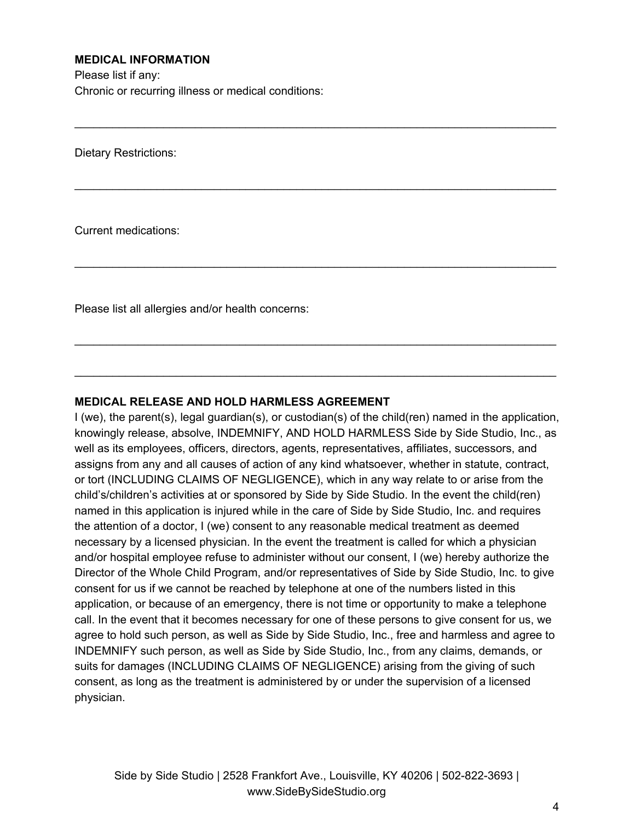## **MEDICAL INFORMATION**

Please list if any: Chronic or recurring illness or medical conditions:

Dietary Restrictions:

Current medications:

Please list all allergies and/or health concerns:

## **MEDICAL RELEASE AND HOLD HARMLESS AGREEMENT**

I (we), the parent(s), legal guardian(s), or custodian(s) of the child(ren) named in the application, knowingly release, absolve, INDEMNIFY, AND HOLD HARMLESS Side by Side Studio, Inc., as well as its employees, officers, directors, agents, representatives, affiliates, successors, and assigns from any and all causes of action of any kind whatsoever, whether in statute, contract, or tort (INCLUDING CLAIMS OF NEGLIGENCE), which in any way relate to or arise from the child's/children's activities at or sponsored by Side by Side Studio. In the event the child(ren) named in this application is injured while in the care of Side by Side Studio, Inc. and requires the attention of a doctor, I (we) consent to any reasonable medical treatment as deemed necessary by a licensed physician. In the event the treatment is called for which a physician and/or hospital employee refuse to administer without our consent, I (we) hereby authorize the Director of the Whole Child Program, and/or representatives of Side by Side Studio, Inc. to give consent for us if we cannot be reached by telephone at one of the numbers listed in this application, or because of an emergency, there is not time or opportunity to make a telephone call. In the event that it becomes necessary for one of these persons to give consent for us, we agree to hold such person, as well as Side by Side Studio, Inc., free and harmless and agree to INDEMNIFY such person, as well as Side by Side Studio, Inc., from any claims, demands, or suits for damages (INCLUDING CLAIMS OF NEGLIGENCE) arising from the giving of such consent, as long as the treatment is administered by or under the supervision of a licensed physician.

\_\_\_\_\_\_\_\_\_\_\_\_\_\_\_\_\_\_\_\_\_\_\_\_\_\_\_\_\_\_\_\_\_\_\_\_\_\_\_\_\_\_\_\_\_\_\_\_\_\_\_\_\_\_\_\_\_\_\_\_\_\_\_\_\_\_\_\_\_\_\_\_\_\_\_\_

\_\_\_\_\_\_\_\_\_\_\_\_\_\_\_\_\_\_\_\_\_\_\_\_\_\_\_\_\_\_\_\_\_\_\_\_\_\_\_\_\_\_\_\_\_\_\_\_\_\_\_\_\_\_\_\_\_\_\_\_\_\_\_\_\_\_\_\_\_\_\_\_\_\_\_\_

\_\_\_\_\_\_\_\_\_\_\_\_\_\_\_\_\_\_\_\_\_\_\_\_\_\_\_\_\_\_\_\_\_\_\_\_\_\_\_\_\_\_\_\_\_\_\_\_\_\_\_\_\_\_\_\_\_\_\_\_\_\_\_\_\_\_\_\_\_\_\_\_\_\_\_\_

\_\_\_\_\_\_\_\_\_\_\_\_\_\_\_\_\_\_\_\_\_\_\_\_\_\_\_\_\_\_\_\_\_\_\_\_\_\_\_\_\_\_\_\_\_\_\_\_\_\_\_\_\_\_\_\_\_\_\_\_\_\_\_\_\_\_\_\_\_\_\_\_\_\_\_\_

\_\_\_\_\_\_\_\_\_\_\_\_\_\_\_\_\_\_\_\_\_\_\_\_\_\_\_\_\_\_\_\_\_\_\_\_\_\_\_\_\_\_\_\_\_\_\_\_\_\_\_\_\_\_\_\_\_\_\_\_\_\_\_\_\_\_\_\_\_\_\_\_\_\_\_\_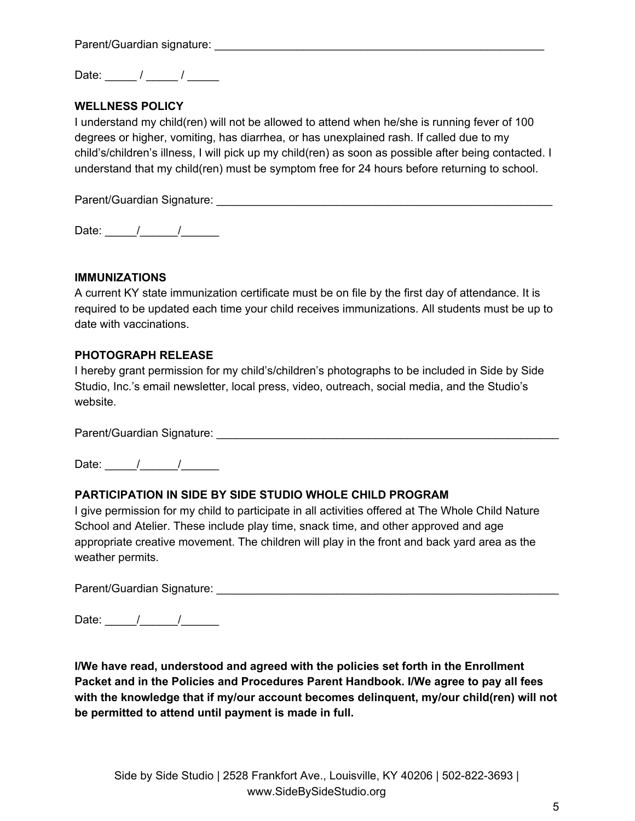Parent/Guardian signature:

Date:  $\frac{1}{2}$  /  $\frac{1}{2}$ 

## **WELLNESS POLICY**

I understand my child(ren) will not be allowed to attend when he/she is running fever of 100 degrees or higher, vomiting, has diarrhea, or has unexplained rash. If called due to my child's/children's illness, I will pick up my child(ren) as soon as possible after being contacted. I understand that my child(ren) must be symptom free for 24 hours before returning to school.

Parent/Guardian Signature: \_\_\_\_\_\_\_\_\_\_\_\_\_\_\_\_\_\_\_\_\_\_\_\_\_\_\_\_\_\_\_\_\_\_\_\_\_\_\_\_\_\_\_\_\_\_\_\_\_\_\_\_\_

Date:  $\frac{1}{2}$  /  $\frac{1}{2}$ 

#### **IMMUNIZATIONS**

A current KY state immunization certificate must be on file by the first day of attendance. It is required to be updated each time your child receives immunizations. All students must be up to date with vaccinations.

#### **PHOTOGRAPH RELEASE**

I hereby grant permission for my child's/children's photographs to be included in Side by Side Studio, Inc.'s email newsletter, local press, video, outreach, social media, and the Studio's website.

Parent/Guardian Signature: \_\_\_\_\_\_\_\_\_\_\_\_\_\_\_\_\_\_\_\_\_\_\_\_\_\_\_\_\_\_\_\_\_\_\_\_\_\_\_\_\_\_\_\_\_\_\_\_\_\_\_\_\_\_

Date:  $\frac{1}{2}$  /

#### **PARTICIPATION IN SIDE BY SIDE STUDIO WHOLE CHILD PROGRAM**

I give permission for my child to participate in all activities offered at The Whole Child Nature School and Atelier. These include play time, snack time, and other approved and age appropriate creative movement. The children will play in the front and back yard area as the weather permits.

Parent/Guardian Signature: \_\_\_\_\_\_\_\_\_\_\_\_\_\_\_\_\_\_\_\_\_\_\_\_\_\_\_\_\_\_\_\_\_\_\_\_\_\_\_\_\_\_\_\_\_\_\_\_\_\_\_\_\_\_

Date:  $\frac{1}{2}$  /

**I/We have read, understood and agreed with the policies set forth in the Enrollment Packet and in the Policies and Procedures Parent Handbook. I/We agree to pay all fees with the knowledge that if my/our account becomes delinquent, my/our child(ren) will not be permitted to attend until payment is made in full.**